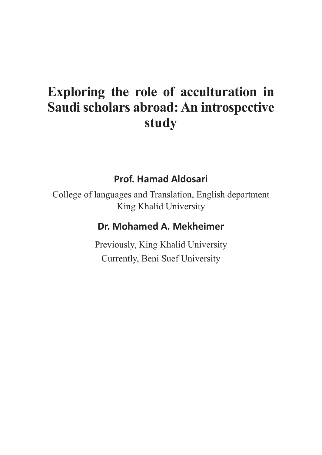# **Exploring the role of acculturation in Saudi scholars abroad: An introspective study**

#### **Prof. Hamad Aldosari**

College of languages and Translation, English department King Khalid University

#### **Dr. Mohamed A. Mekheimer**

Previously, King Khalid University Currently, Beni Suef University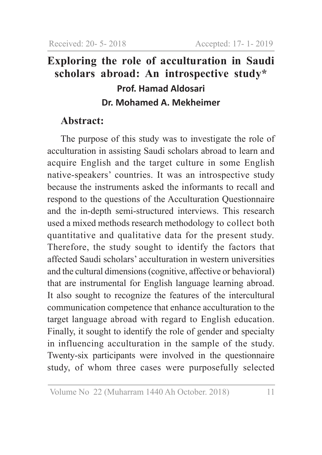# **Exploring the role of acculturation in Saudi scholars abroad: An introspective study\* Prof. Hamad Aldosari Dr. Mohamed A. Mekheimer**

### **Abstract:**

The purpose of this study was to investigate the role of acculturation in assisting Saudi scholars abroad to learn and acquire English and the target culture in some English native-speakers' countries. It was an introspective study because the instruments asked the informants to recall and respond to the questions of the Acculturation Questionnaire and the in-depth semi-structured interviews. This research used a mixed methods research methodology to collect both quantitative and qualitative data for the present study. Therefore, the study sought to identify the factors that affected Saudi scholars' acculturation in western universities and the cultural dimensions (cognitive, affective or behavioral) that are instrumental for English language learning abroad. It also sought to recognize the features of the intercultural communication competence that enhance acculturation to the target language abroad with regard to English education. Finally, it sought to identify the role of gender and specialty in influencing acculturation in the sample of the study. Twenty-six participants were involved in the questionnaire study, of whom three cases were purposefully selected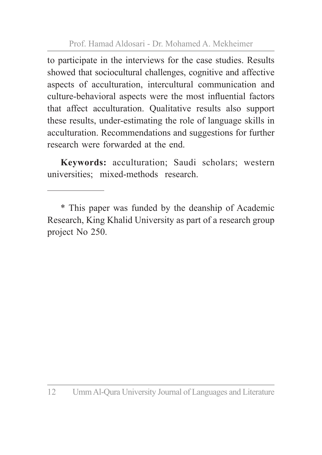to participate in the interviews for the case studies. Results showed that sociocultural challenges, cognitive and affective aspects of acculturation, intercultural communication and culture-behavioral aspects were the most influential factors that affect acculturation. Qualitative results also support these results, under-estimating the role of language skills in acculturation. Recommendations and suggestions for further research were forwarded at the end.

**Keywords:** acculturation; Saudi scholars; western universities; mixed-methods research.

<sup>\*</sup> This paper was funded by the deanship of Academic Research, King Khalid University as part of a research group project No 250.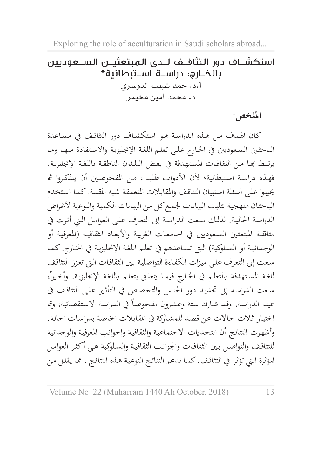# استكشــاف دور الـتثاقــف لـــدى الـمبتعثيـــن الـســـعـوديين<br>بالـخـــارج: دراســـة اســـتبطانية\* أ.د. حمد شبيب الدوسري د. محمد أمين مخيمر

**امللخص:**

كان اهلـدف مـن هـذه الدراسـة هـو استكشـاف دور التثاقـف يف مسـاعدة الباحثين السعوديين في الخارج على تعلم اللغة الإنجليزيـة والاستفادة منهـا ومـا يرتبـط بهـا مـن الثقافـات المستهدفة في بعـض البلـدان الناطقـة باللغـة الإنجليزيـة. فهـذه دراسـة اسـتبطانية؛ ألن األدوات طلبـت مـن املفحوصـن أن يتذكـروا مث جييبـوا علـى أسـئلة اسـتبيان التثاقـف واملقابـات املتعمقـة شـبه املقننـة. كمـا اسـتخدم الباحثـان منهجية تثليث البيـانات لجمـع كل مـن البيـانات الكميـة والنوعية لأغـراض الدراسـة احلاليـة. لذلـك سـعت الدراسـة إىل التعـرف علـى العوامـل الـي أثـرت يف مثاقفـة المبتعثـين السـعوديين في الجامعـات الغربيـة والأبعـاد الثقافيـة (المعرفيـة أو الوجدانيـة أو السـلوكية) الـتي تسـاعدهم في تعلـم اللغـة الإنجليزيـة في الخـارج. كمـا سـعت إىل التعـرف علـى ميـزات الكفـاءة التواصليـة بـن الثقافـات الـي تعـزز التثاقـف للغـة المستهدفة بالتعلـم في الخـارج فيمـا يتعلـق بتعلـم باللغـة الإنجليزيـة. وأخـيراً، سـعت الدراسـة إىل حتديـد دور اجلنـس والتخصـص يف التأثـر علـى التثاقـف يف عينة الدراسة. وقد شارك ستة وعشرون مفحوصاً في الدراسة الاستقصائية، وتم اختيـار ثـاث حـاالت عـن قصـد للمشـاركة يف املقابـات اخلاصـة بدراسـات احلالـة. وأظهـرت النتائـج أن التحـدايت االجتماعيـة والثقافيـة واجلوانـب املعرفيـة والوجدانيـة للتثاقـف والتواصـل بـن الثقافـات واجلوانـب الثقافيـة والسـلوكية هـي أكثـر العوامـل املؤثـرة الـي تؤثـر يف التثاقـف. كمـا تدعـم النتائـج النوعيـة هـذه النتائـج ، ممـا يقلـل مـن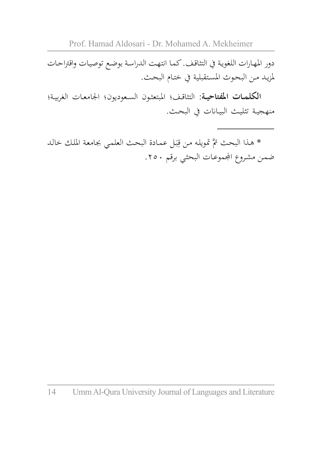دور املهـارات اللغويـة يف التثاقـف. كمـا انتهـت الدراسـة بوضـع توصيـات واقرتاحـات ملزيـد مـن البحـوث املسـتقبلية يف ختـام البحـث.

**الكلمــات املفتاحيــة:** التثاقـف؛ املبتعثـون السـعوديون؛ اجلامعـات الغربيـة؛ منهجيـة تثليـث البيـاانت يف البحـث.

\* هـذا البحث تمَّ تمويله من قِبَل عمـادة البحث العلمي بجامعة الملك خالـد<br>. ب ِ ضمن مشروع المجموعـات البحثـي برقم ٢٥٠.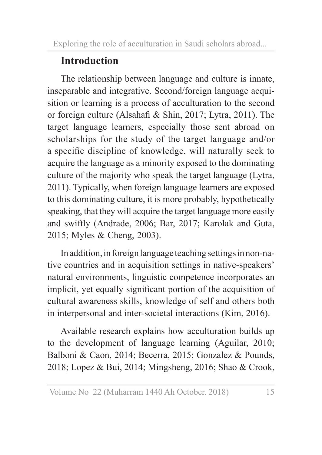# **Introduction**

The relationship between language and culture is innate, inseparable and integrative. Second/foreign language acquisition or learning is a process of acculturation to the second or foreign culture (Alsahafi & Shin, 2017; Lytra, 2011). The target language learners, especially those sent abroad on scholarships for the study of the target language and/or a specific discipline of knowledge, will naturally seek to acquire the language as a minority exposed to the dominating culture of the majority who speak the target language (Lytra, 2011). Typically, when foreign language learners are exposed to this dominating culture, it is more probably, hypothetically speaking, that they will acquire the target language more easily and swiftly (Andrade, 2006; Bar, 2017; Karolak and Guta, 2015; Myles & Cheng, 2003).

In addition, in foreign language teaching settings in non-native countries and in acquisition settings in native-speakers' natural environments, linguistic competence incorporates an implicit, yet equally significant portion of the acquisition of cultural awareness skills, knowledge of self and others both in interpersonal and inter-societal interactions (Kim, 2016).

Available research explains how acculturation builds up to the development of language learning (Aguilar, 2010; Balboni & Caon, 2014; Becerra, 2015; Gonzalez & Pounds, 2018; Lopez & Bui, 2014; Mingsheng, 2016; Shao & Crook,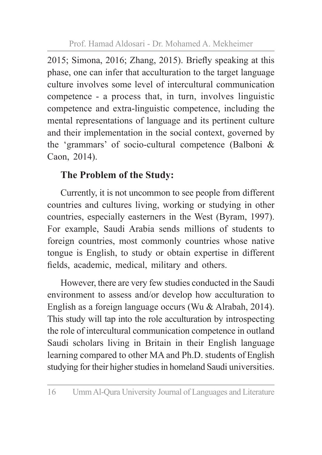2015; Simona, 2016; Zhang, 2015). Briefly speaking at this phase, one can infer that acculturation to the target language culture involves some level of intercultural communication competence - a process that, in turn, involves linguistic competence and extra-linguistic competence, including the mental representations of language and its pertinent culture and their implementation in the social context, governed by the 'grammars' of socio-cultural competence (Balboni & Caon, 2014).

### **The Problem of the Study:**

Currently, it is not uncommon to see people from different countries and cultures living, working or studying in other countries, especially easterners in the West (Byram, 1997). For example, Saudi Arabia sends millions of students to foreign countries, most commonly countries whose native tongue is English, to study or obtain expertise in different fields, academic, medical, military and others.

However, there are very few studies conducted in the Saudi environment to assess and/or develop how acculturation to English as a foreign language occurs (Wu & Alrabah, 2014). This study will tap into the role acculturation by introspecting the role of intercultural communication competence in outland Saudi scholars living in Britain in their English language learning compared to other MA and Ph.D. students of English studying for their higher studies in homeland Saudi universities.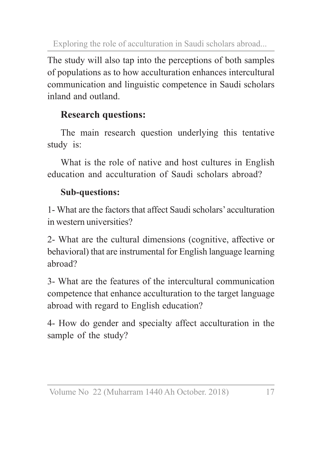The study will also tap into the perceptions of both samples of populations as to how acculturation enhances intercultural communication and linguistic competence in Saudi scholars inland and outland.

### **Research questions:**

The main research question underlying this tentative study is:

What is the role of native and host cultures in English education and acculturation of Saudi scholars abroad?

### **Sub-questions:**

1- What are the factors that affect Saudi scholars' acculturation in western universities?

2- What are the cultural dimensions (cognitive, affective or behavioral) that are instrumental for English language learning abroad?

3- What are the features of the intercultural communication competence that enhance acculturation to the target language abroad with regard to English education?

4- How do gender and specialty affect acculturation in the sample of the study?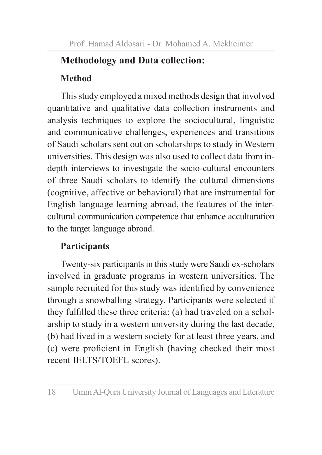## **Methodology and Data collection:**

### **Method**

This study employed a mixed methods design that involved quantitative and qualitative data collection instruments and analysis techniques to explore the sociocultural, linguistic and communicative challenges, experiences and transitions of Saudi scholars sent out on scholarships to study in Western universities. This design was also used to collect data from indepth interviews to investigate the socio-cultural encounters of three Saudi scholars to identify the cultural dimensions (cognitive, affective or behavioral) that are instrumental for English language learning abroad, the features of the intercultural communication competence that enhance acculturation to the target language abroad.

### **Participants**

Twenty-six participants in this study were Saudi ex-scholars involved in graduate programs in western universities. The sample recruited for this study was identified by convenience through a snowballing strategy. Participants were selected if they fulfilled these three criteria: (a) had traveled on a scholarship to study in a western university during the last decade, (b) had lived in a western society for at least three years, and (c) were proficient in English (having checked their most recent IELTS/TOEFL scores).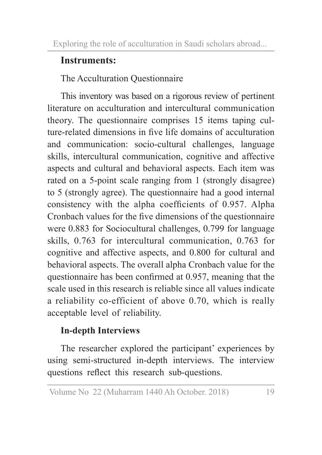### **Instruments:**

The Acculturation Questionnaire

This inventory was based on a rigorous review of pertinent literature on acculturation and intercultural communication theory. The questionnaire comprises 15 items taping culture-related dimensions in five life domains of acculturation and communication: socio-cultural challenges, language skills, intercultural communication, cognitive and affective aspects and cultural and behavioral aspects. Each item was rated on a 5-point scale ranging from 1 (strongly disagree) to 5 (strongly agree). The questionnaire had a good internal consistency with the alpha coefficients of 0.957. Alpha Cronbach values for the five dimensions of the questionnaire were 0.883 for Sociocultural challenges, 0.799 for language skills, 0.763 for intercultural communication, 0.763 for cognitive and affective aspects, and 0.800 for cultural and behavioral aspects. The overall alpha Cronbach value for the questionnaire has been confirmed at 0.957, meaning that the scale used in this research is reliable since all values indicate a reliability co-efficient of above 0.70, which is really acceptable level of reliability.

### **In-depth Interviews**

The researcher explored the participant' experiences by using semi-structured in-depth interviews. The interview questions reflect this research sub-questions.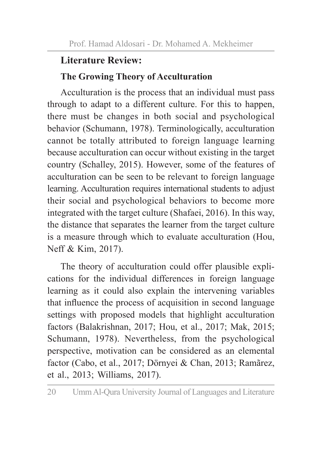### **Literature Review:**

#### **The Growing Theory of Acculturation**

Acculturation is the process that an individual must pass through to adapt to a different culture. For this to happen, there must be changes in both social and psychological behavior (Schumann, 1978). Terminologically, acculturation cannot be totally attributed to foreign language learning because acculturation can occur without existing in the target country (Schalley, 2015). However, some of the features of acculturation can be seen to be relevant to foreign language learning. Acculturation requires international students to adjust their social and psychological behaviors to become more integrated with the target culture (Shafaei, 2016). In this way, the distance that separates the learner from the target culture is a measure through which to evaluate acculturation (Hou, Neff & Kim, 2017).

The theory of acculturation could offer plausible explications for the individual differences in foreign language learning as it could also explain the intervening variables that influence the process of acquisition in second language settings with proposed models that highlight acculturation factors (Balakrishnan, 2017; Hou, et al., 2017; Mak, 2015; Schumann, 1978). Nevertheless, from the psychological perspective, motivation can be considered as an elemental factor (Cabo, et al., 2017; Dörnyei & Chan, 2013; Ramãrez, et al., 2013; Williams, 2017).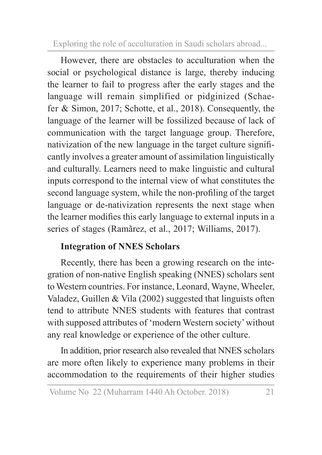However, there are obstacles to acculturation when the social or psychological distance is large, thereby inducing the learner to fail to progress after the early stages and the language will remain simplified or pidginized (Schaefer & Simon, 2017; Schotte, et al., 2018). Consequently, the language of the learner will be fossilized because of lack of communication with the target language group. Therefore, nativization of the new language in the target culture significantly involves a greater amount of assimilation linguistically and culturally. Learners need to make linguistic and cultural inputs correspond to the internal view of what constitutes the second language system, while the non-profiling of the target language or de-nativization represents the next stage when the learner modifies this early language to external inputs in a series of stages (Ramãrez, et al., 2017; Williams, 2017).

### **Integration of NNES Scholars**

Recently, there has been a growing research on the integration of non-native English speaking (NNES) scholars sent to Western countries. For instance, Leonard, Wayne, Wheeler, Valadez, Guillen & Vila (2002) suggested that linguists often tend to attribute NNES students with features that contrast with supposed attributes of 'modern Western society' without any real knowledge or experience of the other culture.

In addition, prior research also revealed that NNES scholars are more often likely to experience many problems in their accommodation to the requirements of their higher studies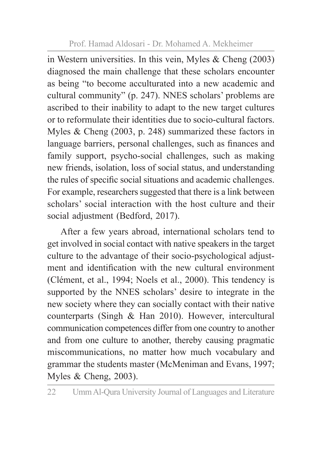in Western universities. In this vein, Myles & Cheng (2003) diagnosed the main challenge that these scholars encounter as being "to become acculturated into a new academic and cultural community" (p. 247). NNES scholars' problems are ascribed to their inability to adapt to the new target cultures or to reformulate their identities due to socio-cultural factors. Myles & Cheng (2003, p. 248) summarized these factors in language barriers, personal challenges, such as finances and family support, psycho-social challenges, such as making new friends, isolation, loss of social status, and understanding the rules of specific social situations and academic challenges. For example, researchers suggested that there is a link between scholars' social interaction with the host culture and their social adjustment (Bedford, 2017).

After a few years abroad, international scholars tend to get involved in social contact with native speakers in the target culture to the advantage of their socio-psychological adjustment and identification with the new cultural environment (Clément, et al., 1994; Noels et al., 2000). This tendency is supported by the NNES scholars' desire to integrate in the new society where they can socially contact with their native counterparts (Singh & Han 2010). However, intercultural communication competences differ from one country to another and from one culture to another, thereby causing pragmatic miscommunications, no matter how much vocabulary and grammar the students master (McMeniman and Evans, 1997; Myles & Cheng, 2003).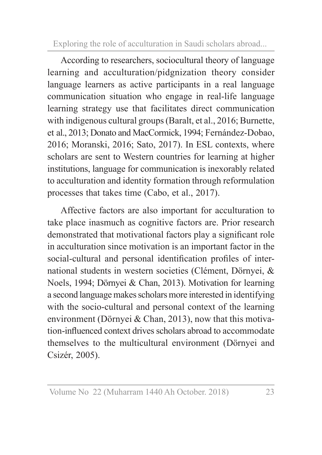According to researchers, sociocultural theory of language learning and acculturation/pidgnization theory consider language learners as active participants in a real language communication situation who engage in real-life language learning strategy use that facilitates direct communication with indigenous cultural groups (Baralt, et al., 2016; Burnette, et al., 2013; Donato and MacCormick, 1994; Fernández-Dobao, 2016; Moranski, 2016; Sato, 2017). In ESL contexts, where scholars are sent to Western countries for learning at higher institutions, language for communication is inexorably related to acculturation and identity formation through reformulation processes that takes time (Cabo, et al., 2017).

Affective factors are also important for acculturation to take place inasmuch as cognitive factors are. Prior research demonstrated that motivational factors play a significant role in acculturation since motivation is an important factor in the social-cultural and personal identification profiles of international students in western societies (Clément, Dörnyei, & Noels, 1994; Dörnyei & Chan, 2013). Motivation for learning a second language makes scholars more interested in identifying with the socio-cultural and personal context of the learning environment (Dörnyei & Chan, 2013), now that this motivation-influenced context drives scholars abroad to accommodate themselves to the multicultural environment (Dörnyei and Csizér, 2005).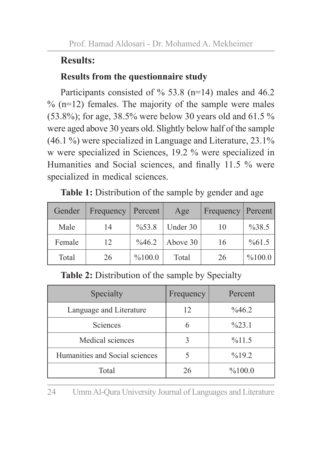### **Results:**

#### **Results from the questionnaire study**

Participants consisted of  $\%$  53.8 (n=14) males and 46.2  $\%$  (n=12) females. The majority of the sample were males (53.8%); for age, 38.5% were below 30 years old and 61.5 % were aged above 30 years old. Slightly below half of the sample (46.1 %) were specialized in Language and Literature, 23.1% w were specialized in Sciences, 19.2 % were specialized in Humanities and Social sciences, and finally 11.5 % were specialized in medical sciences.

| Gender | Frequency | Percent            | Age      | Frequency   Percent |        |
|--------|-----------|--------------------|----------|---------------------|--------|
| Male   | 14        | $\frac{9}{6}$ 53.8 | Under 30 | 10                  | %38.5  |
| Female | 12        | $\frac{9}{646.2}$  | Above 30 | 16                  | %61.5  |
| Total  | 26        | %100.0             | Total    | 26                  | %100.0 |

**Table 1:** Distribution of the sample by gender and age

**Table 2:** Distribution of the sample by Specialty

| Specialty                      | Frequency | Percent           |
|--------------------------------|-----------|-------------------|
| Language and Literature        | 12        | $\%46.2$          |
| Sciences                       | 6         | $\frac{623.1}{2}$ |
| Medical sciences               |           | %11.5             |
| Humanities and Social sciences |           | $\%19.2$          |
| Total                          | 26        | %100.0            |

24 Umm Al-Qura University Journal of Languages and Literature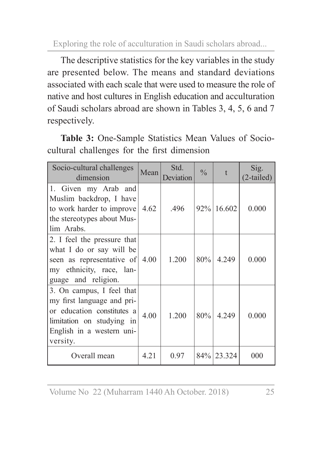The descriptive statistics for the key variables in the study are presented below. The means and standard deviations associated with each scale that were used to measure the role of native and host cultures in English education and acculturation of Saudi scholars abroad are shown in Tables 3, 4, 5, 6 and 7 respectively.

**Table 3:** One-Sample Statistics Mean Values of Sociocultural challenges for the first dimension

| Socio-cultural challenges<br>dimension                                                                                                                      | Mean | Std.<br>Deviation | $\frac{0}{0}$ | t      | Sig.<br>$(2$ -tailed) |
|-------------------------------------------------------------------------------------------------------------------------------------------------------------|------|-------------------|---------------|--------|-----------------------|
| 1. Given my Arab and<br>Muslim backdrop, I have<br>to work harder to improve $ 4.62\rangle$<br>the stereotypes about Mus-<br>lim Arabs.                     |      | .496              | 92%           | 16.602 | 0.000                 |
| 2. I feel the pressure that<br>what I do or say will be<br>seen as representative of<br>my ethnicity, race, lan-<br>guage and religion.                     | 4.00 | 1.200             | 80%           | 4.249  | 0.000                 |
| 3. On campus, I feel that<br>my first language and pri-<br>or education constitutes a<br>limitation on studying in<br>English in a western uni-<br>versity. | 4.00 | 1.200             | 80%           | 4.249  | 0.000                 |
| Overall mean                                                                                                                                                | 4.21 | 0.97              | 84%           | 23.324 | 000                   |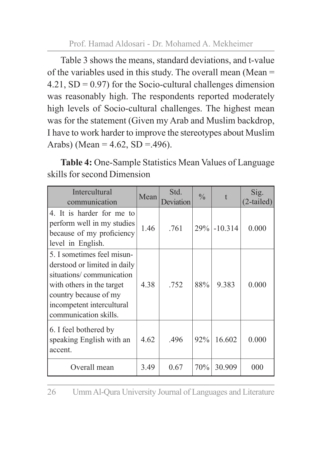Table 3 shows the means, standard deviations, and t-value of the variables used in this study. The overall mean (Mean = 4.21,  $SD = 0.97$  for the Socio-cultural challenges dimension was reasonably high. The respondents reported moderately high levels of Socio-cultural challenges. The highest mean was for the statement (Given my Arab and Muslim backdrop, I have to work harder to improve the stereotypes about Muslim Arabs) (Mean =  $4.62$ , SD =  $.496$ ).

**Table 4:** One-Sample Statistics Mean Values of Language skills for second Dimension

| Intercultural<br>communication                                                                                                                                                                     | Mean | Std.<br>Deviation | $\frac{0}{0}$ |           | Sig.<br>$(2-tailed)$ |
|----------------------------------------------------------------------------------------------------------------------------------------------------------------------------------------------------|------|-------------------|---------------|-----------|----------------------|
| 4. It is harder for me to<br>perform well in my studies<br>because of my proficiency<br>level in English.                                                                                          | 1.46 | .761              | 29%           | $-10.314$ | 0.000                |
| 5. I sometimes feel misun-<br>derstood or limited in daily<br>situations/communication<br>with others in the target<br>country because of my<br>incompetent intercultural<br>communication skills. | 4.38 | .752              | 88%           | 9.383     | 0.000                |
| 6. I feel bothered by<br>speaking English with an<br>accent.                                                                                                                                       | 4.62 | .496              | 92%           | 16.602    | 0.000                |
| Overall mean                                                                                                                                                                                       | 3.49 | 0.67              | 70%           | 30.909    | 000                  |

26 Umm Al-Qura University Journal of Languages and Literature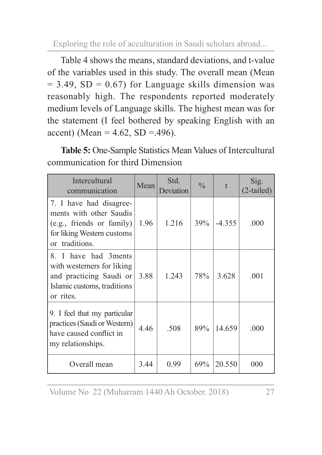Table 4 shows the means, standard deviations, and t-value of the variables used in this study. The overall mean (Mean  $= 3.49$ , SD  $= 0.67$ ) for Language skills dimension was reasonably high. The respondents reported moderately medium levels of Language skills. The highest mean was for the statement (I feel bothered by speaking English with an accent) (Mean =  $4.62$ , SD =  $.496$ ).

**Table 5:** One-Sample Statistics Mean Values of Intercultural communication for third Dimension

| Intercultural<br>communication                                                                                                           | Mean | Std.<br>Deviation | $\frac{0}{0}$ |          | Sig.<br>$(2-tailed)$ |
|------------------------------------------------------------------------------------------------------------------------------------------|------|-------------------|---------------|----------|----------------------|
| 7. I have had disagree-<br>ments with other Saudis<br>(e.g., friends or family)<br>for liking Western customs<br>traditions.<br>$\alpha$ | 1.96 | 1.216             | 39%           | $-4.355$ | .000                 |
| 8. I have had 3 ments<br>with westerners for liking<br>and practicing Saudi or<br>Islamic customs, traditions<br>or rites.               | 3.88 | 1.243             | 78%           | 3.628    | .001                 |
| 9. I feel that my particular<br>practices (Saudi or Western)<br>have caused conflict in<br>my relationships.                             | 4.46 | .508              | 89%           | 14.659   | .000                 |
| Overall mean                                                                                                                             | 3.44 | 0.99              | 69%           | 20.550   | 000                  |

Volume No 22 (Muharram 1440 Ah October. 2018) 27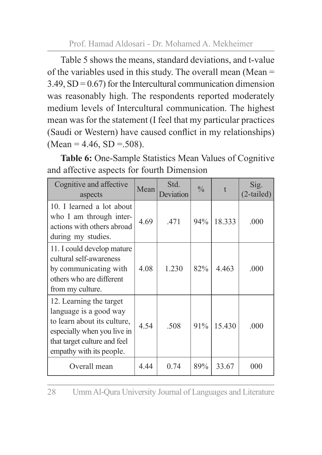Table 5 shows the means, standard deviations, and t-value of the variables used in this study. The overall mean (Mean =  $3.49$ ,  $SD = 0.67$ ) for the Intercultural communication dimension was reasonably high. The respondents reported moderately medium levels of Intercultural communication. The highest mean was for the statement (I feel that my particular practices (Saudi or Western) have caused conflict in my relationships)  $(Mean = 4.46, SD = .508).$ 

**Table 6:** One-Sample Statistics Mean Values of Cognitive and affective aspects for fourth Dimension

| Cognitive and affective<br>aspects                                                                                                                                          | Mean | Std.<br>Deviation | $\frac{0}{0}$ |        | Sig.<br>$(2-tailed)$ |
|-----------------------------------------------------------------------------------------------------------------------------------------------------------------------------|------|-------------------|---------------|--------|----------------------|
| 10. I learned a lot about<br>who I am through inter-<br>actions with others abroad<br>during my studies.                                                                    | 4.69 | 471               | 94%           | 18.333 | .000                 |
| 11. I could develop mature<br>cultural self-awareness<br>by communicating with<br>others who are different<br>from my culture.                                              | 4.08 | 1.230             | 82%           | 4.463  | .000                 |
| 12. Learning the target<br>language is a good way<br>to learn about its culture,<br>especially when you live in<br>that target culture and feel<br>empathy with its people. | 4.54 | .508              | 91%           | 15.430 | .000                 |
| Overall mean                                                                                                                                                                | 4.44 | 0.74              | 89%           | 33.67  | 000                  |

28 Umm Al-Qura University Journal of Languages and Literature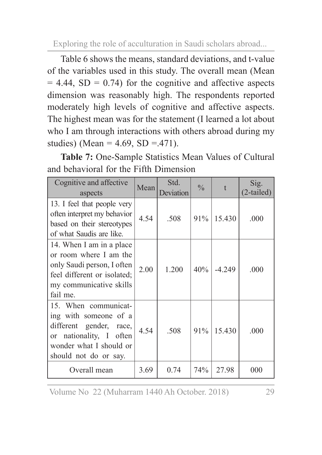Table 6 shows the means, standard deviations, and t-value of the variables used in this study. The overall mean (Mean  $= 4.44$ , SD  $= 0.74$ ) for the cognitive and affective aspects dimension was reasonably high. The respondents reported moderately high levels of cognitive and affective aspects. The highest mean was for the statement (I learned a lot about who I am through interactions with others abroad during my studies) (Mean =  $4.69$ , SD =  $.471$ ).

**Table 7:** One-Sample Statistics Mean Values of Cultural and behavioral for the Fifth Dimension

| Cognitive and affective<br>aspects                                                                                                                                    | Mean | Std.<br>Deviation | $\frac{0}{0}$ |          | Sig.<br>(2-tailed) |
|-----------------------------------------------------------------------------------------------------------------------------------------------------------------------|------|-------------------|---------------|----------|--------------------|
| 13. I feel that people very<br>often interpret my behavior<br>based on their stereotypes<br>of what Saudis are like.                                                  | 4.54 | .508              | 91%           | 15.430   | .000               |
| 14. When I am in a place<br>or room where I am the<br>only Saudi person, I often<br>feel different or isolated;<br>my communicative skills<br>fail me.                | 2.00 | 1.200             | 40%           | $-4.249$ | .000               |
| 15. When communicat-<br>ing with someone of a<br>different gender, race,<br>nationality, I often<br><sub>or</sub><br>wonder what I should or<br>should not do or say. | 4.54 | .508              | 91%           | 15.430   | .000               |
| Overall mean                                                                                                                                                          | 3.69 | 0.74              | 74%           | 27.98    | 000                |

Volume No 22 (Muharram 1440 Ah October. 2018) 29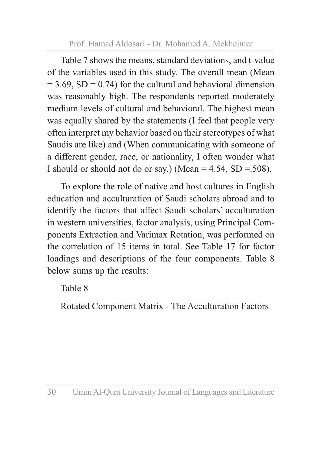Table 7 shows the means, standard deviations, and t-value of the variables used in this study. The overall mean (Mean  $= 3.69$ , SD  $= 0.74$ ) for the cultural and behavioral dimension was reasonably high. The respondents reported moderately medium levels of cultural and behavioral. The highest mean was equally shared by the statements (I feel that people very often interpret my behavior based on their stereotypes of what Saudis are like) and (When communicating with someone of a different gender, race, or nationality, I often wonder what I should or should not do or say.) (Mean  $= 4.54$ , SD  $= 508$ ).

To explore the role of native and host cultures in English education and acculturation of Saudi scholars abroad and to identify the factors that affect Saudi scholars' acculturation in western universities, factor analysis, using Principal Components Extraction and Varimax Rotation, was performed on the correlation of 15 items in total. See Table 17 for factor loadings and descriptions of the four components. Table 8 below sums up the results:

Table 8

Rotated Component Matrix - The Acculturation Factors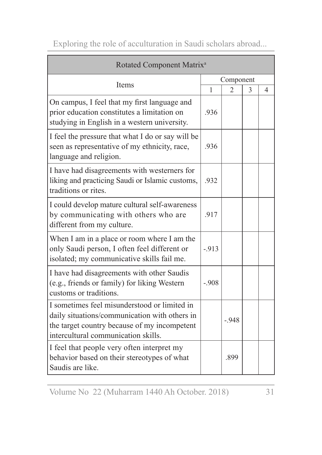| Rotated Component Matrix <sup>a</sup>                                                                                                                                                |           |                |   |   |  |
|--------------------------------------------------------------------------------------------------------------------------------------------------------------------------------------|-----------|----------------|---|---|--|
| Items                                                                                                                                                                                | Component |                |   |   |  |
|                                                                                                                                                                                      | 1         | $\overline{2}$ | 3 | 4 |  |
| On campus, I feel that my first language and<br>prior education constitutes a limitation on<br>studying in English in a western university.                                          | .936      |                |   |   |  |
| I feel the pressure that what I do or say will be<br>seen as representative of my ethnicity, race,<br>language and religion.                                                         | .936      |                |   |   |  |
| I have had disagreements with westerners for<br>liking and practicing Saudi or Islamic customs,<br>traditions or rites.                                                              | .932      |                |   |   |  |
| I could develop mature cultural self-awareness<br>by communicating with others who are<br>different from my culture.                                                                 | .917      |                |   |   |  |
| When I am in a place or room where I am the<br>only Saudi person, I often feel different or<br>isolated; my communicative skills fail me.                                            | $-913$    |                |   |   |  |
| I have had disagreements with other Saudis<br>(e.g., friends or family) for liking Western<br>customs or traditions.                                                                 | $-908$    |                |   |   |  |
| I sometimes feel misunderstood or limited in<br>daily situations/communication with others in<br>the target country because of my incompetent<br>intercultural communication skills. |           | $-948$         |   |   |  |
| I feel that people very often interpret my<br>behavior based on their stereotypes of what<br>Saudis are like.                                                                        |           | .899           |   |   |  |

Volume No 22 (Muharram 1440 Ah October. 2018) 31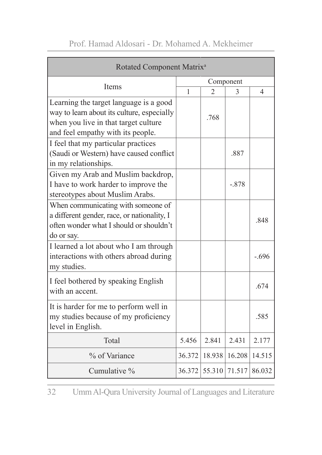| Rotated Component Matrix <sup>a</sup>                                                                                                                             |              |        |           |         |  |
|-------------------------------------------------------------------------------------------------------------------------------------------------------------------|--------------|--------|-----------|---------|--|
|                                                                                                                                                                   |              |        | Component |         |  |
| Items                                                                                                                                                             | $\mathbf{1}$ | 2      | 3         | 4       |  |
| Learning the target language is a good<br>way to learn about its culture, especially<br>when you live in that target culture<br>and feel empathy with its people. |              | .768   |           |         |  |
| I feel that my particular practices<br>(Saudi or Western) have caused conflict<br>in my relationships.                                                            |              |        | .887      |         |  |
| Given my Arab and Muslim backdrop,<br>I have to work harder to improve the<br>stereotypes about Muslim Arabs.                                                     |              |        | $-.878$   |         |  |
| When communicating with someone of<br>a different gender, race, or nationality, I<br>often wonder what I should or shouldn't<br>do or say.                        |              |        |           | .848    |  |
| I learned a lot about who I am through<br>interactions with others abroad during<br>my studies.                                                                   |              |        |           | $-.696$ |  |
| I feel bothered by speaking English<br>with an accent.                                                                                                            |              |        |           | .674    |  |
| It is harder for me to perform well in<br>my studies because of my proficiency<br>level in English.                                                               |              |        |           | .585    |  |
| Total                                                                                                                                                             | 5.456        | 2.841  | 2.431     | 2.177   |  |
| % of Variance                                                                                                                                                     | 36.372       | 18.938 | 16.208    | 14.515  |  |
| Cumulative %                                                                                                                                                      | 36.372       | 55.310 | 71.517    | 86.032  |  |

32 Umm Al-Qura University Journal of Languages and Literature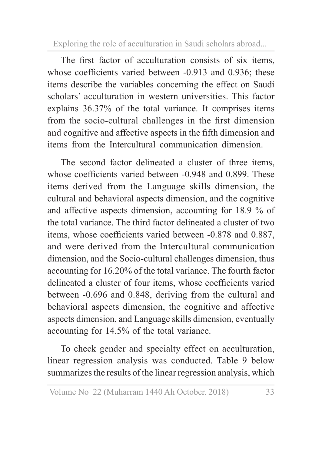The first factor of acculturation consists of six items, whose coefficients varied between -0.913 and 0.936; these items describe the variables concerning the effect on Saudi scholars' acculturation in western universities. This factor explains 36.37% of the total variance. It comprises items from the socio-cultural challenges in the first dimension and cognitive and affective aspects in the fifth dimension and items from the Intercultural communication dimension.

The second factor delineated a cluster of three items, whose coefficients varied between -0.948 and 0.899. These items derived from the Language skills dimension, the cultural and behavioral aspects dimension, and the cognitive and affective aspects dimension, accounting for 18.9 % of the total variance. The third factor delineated a cluster of two items, whose coefficients varied between -0.878 and 0.887, and were derived from the Intercultural communication dimension, and the Socio-cultural challenges dimension, thus accounting for 16.20% of the total variance. The fourth factor delineated a cluster of four items, whose coefficients varied between -0.696 and 0.848, deriving from the cultural and behavioral aspects dimension, the cognitive and affective aspects dimension, and Language skills dimension, eventually accounting for 14.5% of the total variance.

To check gender and specialty effect on acculturation, linear regression analysis was conducted. Table 9 below summarizes the results of the linear regression analysis, which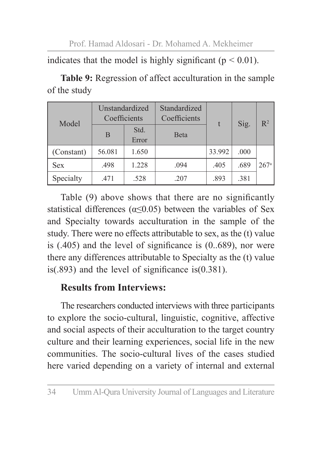indicates that the model is highly significant ( $p < 0.01$ ).

| Model      | Unstandardized<br>Coefficients |               | Standardized<br>Coefficients |        | Sig. | $R^2$            |
|------------|--------------------------------|---------------|------------------------------|--------|------|------------------|
|            | B                              | Std.<br>Error | <b>B</b> eta                 |        |      |                  |
| (Constant) | 56.081                         | 1.650         |                              | 33.992 | .000 |                  |
| <b>Sex</b> | .498                           | 1.228         | .094                         | .405   | .689 | 267 <sup>a</sup> |
| Specialty  | .471                           | .528          | .207                         | .893   | .381 |                  |

**Table 9:** Regression of affect acculturation in the sample of the study

Table (9) above shows that there are no significantly statistical differences ( $\alpha \leq 0.05$ ) between the variables of Sex and Specialty towards acculturation in the sample of the study. There were no effects attributable to sex, as the (t) value is (.405) and the level of significance is (0..689), nor were there any differences attributable to Specialty as the (t) value is(.893) and the level of significance is(0.381).

### **Results from Interviews:**

The researchers conducted interviews with three participants to explore the socio-cultural, linguistic, cognitive, affective and social aspects of their acculturation to the target country culture and their learning experiences, social life in the new communities. The socio-cultural lives of the cases studied here varied depending on a variety of internal and external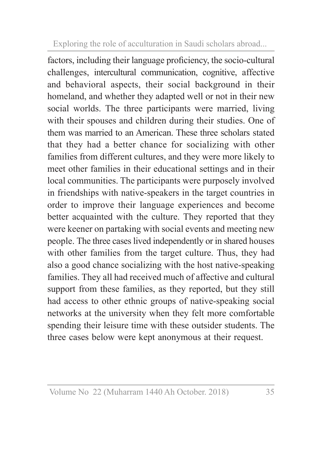factors, including their language proficiency, the socio-cultural challenges, intercultural communication, cognitive, affective and behavioral aspects, their social background in their homeland, and whether they adapted well or not in their new social worlds. The three participants were married, living with their spouses and children during their studies. One of them was married to an American. These three scholars stated that they had a better chance for socializing with other families from different cultures, and they were more likely to meet other families in their educational settings and in their local communities. The participants were purposely involved in friendships with native-speakers in the target countries in order to improve their language experiences and become better acquainted with the culture. They reported that they were keener on partaking with social events and meeting new people. The three cases lived independently or in shared houses with other families from the target culture. Thus, they had also a good chance socializing with the host native-speaking families. They all had received much of affective and cultural support from these families, as they reported, but they still had access to other ethnic groups of native-speaking social networks at the university when they felt more comfortable spending their leisure time with these outsider students. The three cases below were kept anonymous at their request.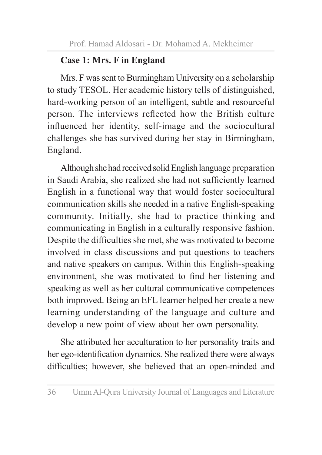### **Case 1: Mrs. F in England**

Mrs. F was sent to Burmingham University on a scholarship to study TESOL. Her academic history tells of distinguished, hard-working person of an intelligent, subtle and resourceful person. The interviews reflected how the British culture influenced her identity, self-image and the sociocultural challenges she has survived during her stay in Birmingham, England.

Although she had received solid English language preparation in Saudi Arabia, she realized she had not sufficiently learned English in a functional way that would foster sociocultural communication skills she needed in a native English-speaking community. Initially, she had to practice thinking and communicating in English in a culturally responsive fashion. Despite the difficulties she met, she was motivated to become involved in class discussions and put questions to teachers and native speakers on campus. Within this English-speaking environment, she was motivated to find her listening and speaking as well as her cultural communicative competences both improved. Being an EFL learner helped her create a new learning understanding of the language and culture and develop a new point of view about her own personality.

She attributed her acculturation to her personality traits and her ego-identification dynamics. She realized there were always difficulties; however, she believed that an open-minded and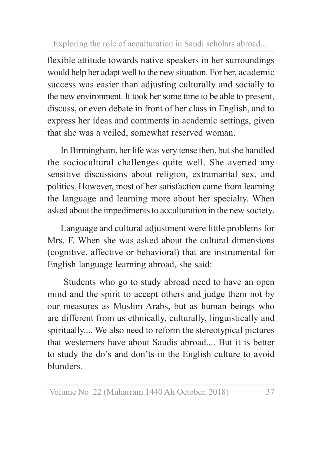flexible attitude towards native-speakers in her surroundings would help her adapt well to the new situation. For her, academic success was easier than adjusting culturally and socially to the new environment. It took her some time to be able to present, discuss, or even debate in front of her class in English, and to express her ideas and comments in academic settings, given that she was a veiled, somewhat reserved woman.

In Birmingham, her life was very tense then, but she handled the sociocultural challenges quite well. She averted any sensitive discussions about religion, extramarital sex, and politics. However, most of her satisfaction came from learning the language and learning more about her specialty. When asked about the impediments to acculturation in the new society.

Language and cultural adjustment were little problems for Mrs. F. When she was asked about the cultural dimensions (cognitive, affective or behavioral) that are instrumental for English language learning abroad, she said:

 Students who go to study abroad need to have an open mind and the spirit to accept others and judge them not by our measures as Muslim Arabs, but as human beings who are different from us ethnically, culturally, linguistically and spiritually.... We also need to reform the stereotypical pictures that westerners have about Saudis abroad.... But it is better to study the do's and don'ts in the English culture to avoid blunders.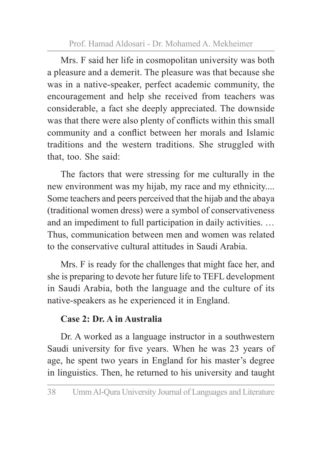Mrs. F said her life in cosmopolitan university was both a pleasure and a demerit. The pleasure was that because she was in a native-speaker, perfect academic community, the encouragement and help she received from teachers was considerable, a fact she deeply appreciated. The downside was that there were also plenty of conflicts within this small community and a conflict between her morals and Islamic traditions and the western traditions. She struggled with that, too. She said:

The factors that were stressing for me culturally in the new environment was my hijab, my race and my ethnicity.... Some teachers and peers perceived that the hijab and the abaya (traditional women dress) were a symbol of conservativeness and an impediment to full participation in daily activities. … Thus, communication between men and women was related to the conservative cultural attitudes in Saudi Arabia.

Mrs. F is ready for the challenges that might face her, and she is preparing to devote her future life to TEFL development in Saudi Arabia, both the language and the culture of its native-speakers as he experienced it in England.

### **Case 2: Dr. A in Australia**

Dr. A worked as a language instructor in a southwestern Saudi university for five years. When he was 23 years of age, he spent two years in England for his master's degree in linguistics. Then, he returned to his university and taught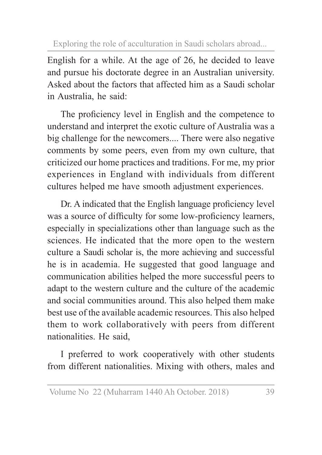English for a while. At the age of 26, he decided to leave and pursue his doctorate degree in an Australian university. Asked about the factors that affected him as a Saudi scholar in Australia, he said:

The proficiency level in English and the competence to understand and interpret the exotic culture of Australia was a big challenge for the newcomers.... There were also negative comments by some peers, even from my own culture, that criticized our home practices and traditions. For me, my prior experiences in England with individuals from different cultures helped me have smooth adjustment experiences.

Dr. A indicated that the English language proficiency level was a source of difficulty for some low-proficiency learners, especially in specializations other than language such as the sciences. He indicated that the more open to the western culture a Saudi scholar is, the more achieving and successful he is in academia. He suggested that good language and communication abilities helped the more successful peers to adapt to the western culture and the culture of the academic and social communities around. This also helped them make best use of the available academic resources. This also helped them to work collaboratively with peers from different nationalities. He said,

I preferred to work cooperatively with other students from different nationalities. Mixing with others, males and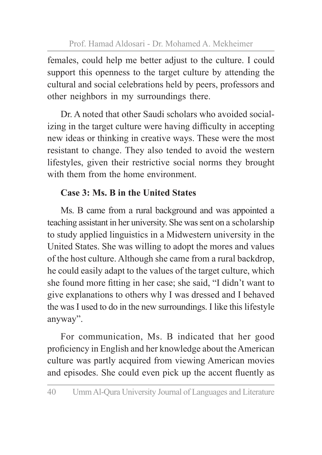females, could help me better adjust to the culture. I could support this openness to the target culture by attending the cultural and social celebrations held by peers, professors and other neighbors in my surroundings there.

Dr. A noted that other Saudi scholars who avoided socializing in the target culture were having difficulty in accepting new ideas or thinking in creative ways. These were the most resistant to change. They also tended to avoid the western lifestyles, given their restrictive social norms they brought with them from the home environment.

### **Case 3: Ms. B in the United States**

Ms. B came from a rural background and was appointed a teaching assistant in her university. She was sent on a scholarship to study applied linguistics in a Midwestern university in the United States. She was willing to adopt the mores and values of the host culture. Although she came from a rural backdrop, he could easily adapt to the values of the target culture, which she found more fitting in her case; she said, "I didn't want to give explanations to others why I was dressed and I behaved the was I used to do in the new surroundings. I like this lifestyle anyway".

For communication, Ms. B indicated that her good proficiency in English and her knowledge about the American culture was partly acquired from viewing American movies and episodes. She could even pick up the accent fluently as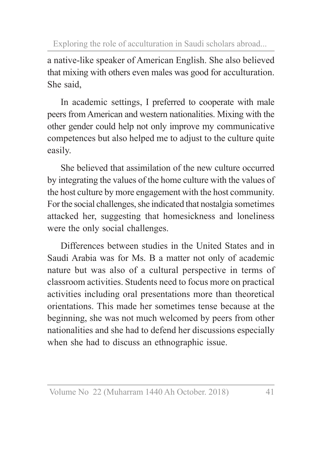a native-like speaker of American English. She also believed that mixing with others even males was good for acculturation. She said,

In academic settings, I preferred to cooperate with male peers from American and western nationalities. Mixing with the other gender could help not only improve my communicative competences but also helped me to adjust to the culture quite easily.

She believed that assimilation of the new culture occurred by integrating the values of the home culture with the values of the host culture by more engagement with the host community. For the social challenges, she indicated that nostalgia sometimes attacked her, suggesting that homesickness and loneliness were the only social challenges.

Differences between studies in the United States and in Saudi Arabia was for Ms. B a matter not only of academic nature but was also of a cultural perspective in terms of classroom activities. Students need to focus more on practical activities including oral presentations more than theoretical orientations. This made her sometimes tense because at the beginning, she was not much welcomed by peers from other nationalities and she had to defend her discussions especially when she had to discuss an ethnographic issue.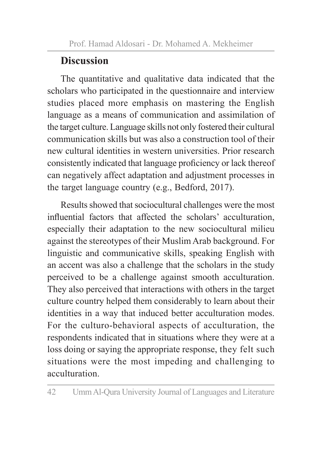## **Discussion**

The quantitative and qualitative data indicated that the scholars who participated in the questionnaire and interview studies placed more emphasis on mastering the English language as a means of communication and assimilation of the target culture. Language skills not only fostered their cultural communication skills but was also a construction tool of their new cultural identities in western universities. Prior research consistently indicated that language proficiency or lack thereof can negatively affect adaptation and adjustment processes in the target language country (e.g., Bedford, 2017).

Results showed that sociocultural challenges were the most influential factors that affected the scholars' acculturation, especially their adaptation to the new sociocultural milieu against the stereotypes of their Muslim Arab background. For linguistic and communicative skills, speaking English with an accent was also a challenge that the scholars in the study perceived to be a challenge against smooth acculturation. They also perceived that interactions with others in the target culture country helped them considerably to learn about their identities in a way that induced better acculturation modes. For the culturo-behavioral aspects of acculturation, the respondents indicated that in situations where they were at a loss doing or saying the appropriate response, they felt such situations were the most impeding and challenging to acculturation.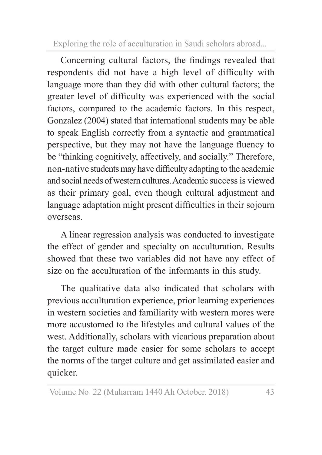Concerning cultural factors, the findings revealed that respondents did not have a high level of difficulty with language more than they did with other cultural factors; the greater level of difficulty was experienced with the social factors, compared to the academic factors. In this respect, Gonzalez (2004) stated that international students may be able to speak English correctly from a syntactic and grammatical perspective, but they may not have the language fluency to be "thinking cognitively, affectively, and socially." Therefore, non-native students may have difficulty adapting to the academic and social needs of western cultures. Academic success is viewed as their primary goal, even though cultural adjustment and language adaptation might present difficulties in their sojourn overseas.

A linear regression analysis was conducted to investigate the effect of gender and specialty on acculturation. Results showed that these two variables did not have any effect of size on the acculturation of the informants in this study.

The qualitative data also indicated that scholars with previous acculturation experience, prior learning experiences in western societies and familiarity with western mores were more accustomed to the lifestyles and cultural values of the west. Additionally, scholars with vicarious preparation about the target culture made easier for some scholars to accept the norms of the target culture and get assimilated easier and quicker.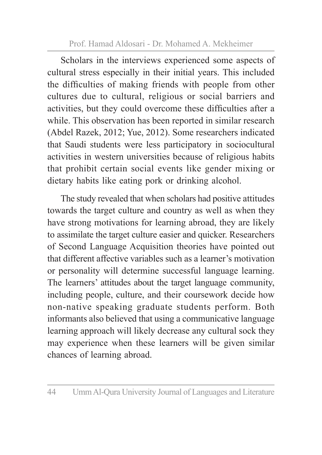Scholars in the interviews experienced some aspects of cultural stress especially in their initial years. This included the difficulties of making friends with people from other cultures due to cultural, religious or social barriers and activities, but they could overcome these difficulties after a while. This observation has been reported in similar research (Abdel Razek, 2012; Yue, 2012). Some researchers indicated that Saudi students were less participatory in sociocultural activities in western universities because of religious habits that prohibit certain social events like gender mixing or dietary habits like eating pork or drinking alcohol.

The study revealed that when scholars had positive attitudes towards the target culture and country as well as when they have strong motivations for learning abroad, they are likely to assimilate the target culture easier and quicker. Researchers of Second Language Acquisition theories have pointed out that different affective variables such as a learner's motivation or personality will determine successful language learning. The learners' attitudes about the target language community, including people, culture, and their coursework decide how non-native speaking graduate students perform. Both informants also believed that using a communicative language learning approach will likely decrease any cultural sock they may experience when these learners will be given similar chances of learning abroad.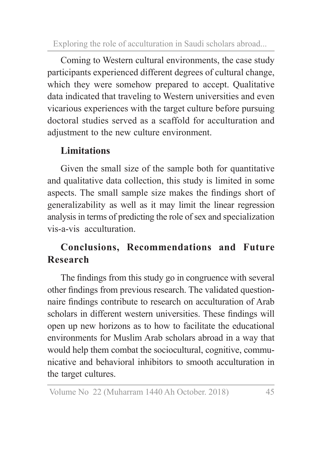Coming to Western cultural environments, the case study participants experienced different degrees of cultural change, which they were somehow prepared to accept. Qualitative data indicated that traveling to Western universities and even vicarious experiences with the target culture before pursuing doctoral studies served as a scaffold for acculturation and adjustment to the new culture environment.

### **Limitations**

Given the small size of the sample both for quantitative and qualitative data collection, this study is limited in some aspects. The small sample size makes the findings short of generalizability as well as it may limit the linear regression analysis in terms of predicting the role of sex and specialization vis-a-vis acculturation.

### **Conclusions, Recommendations and Future Research**

The findings from this study go in congruence with several other findings from previous research. The validated questionnaire findings contribute to research on acculturation of Arab scholars in different western universities. These findings will open up new horizons as to how to facilitate the educational environments for Muslim Arab scholars abroad in a way that would help them combat the sociocultural, cognitive, communicative and behavioral inhibitors to smooth acculturation in the target cultures.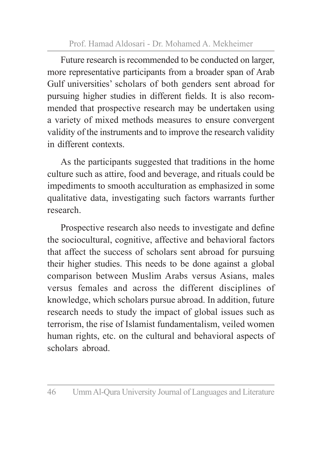Future research is recommended to be conducted on larger, more representative participants from a broader span of Arab Gulf universities' scholars of both genders sent abroad for pursuing higher studies in different fields. It is also recommended that prospective research may be undertaken using a variety of mixed methods measures to ensure convergent validity of the instruments and to improve the research validity in different contexts.

As the participants suggested that traditions in the home culture such as attire, food and beverage, and rituals could be impediments to smooth acculturation as emphasized in some qualitative data, investigating such factors warrants further research.

Prospective research also needs to investigate and define the sociocultural, cognitive, affective and behavioral factors that affect the success of scholars sent abroad for pursuing their higher studies. This needs to be done against a global comparison between Muslim Arabs versus Asians, males versus females and across the different disciplines of knowledge, which scholars pursue abroad. In addition, future research needs to study the impact of global issues such as terrorism, the rise of Islamist fundamentalism, veiled women human rights, etc. on the cultural and behavioral aspects of scholars abroad.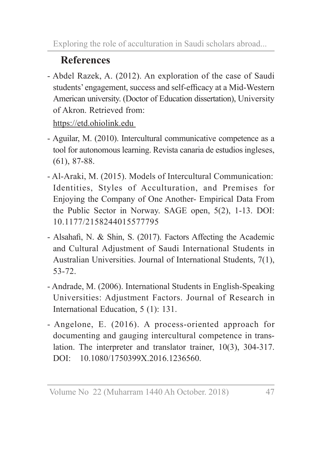## **References**

- Abdel Razek, A. (2012). An exploration of the case of Saudi students' engagement, success and self-efficacy at a Mid-Western American university. (Doctor of Education dissertation), University of Akron. Retrieved from:

https://etd.ohiolink.edu

- Aguilar, M. (2010). Intercultural communicative competence as a tool for autonomous learning. Revista canaria de estudios ingleses, (61), 87-88.
- Al-Araki, M. (2015). Models of Intercultural Communication: Identities, Styles of Acculturation, and Premises for Enjoying the Company of One Another- Empirical Data From the Public Sector in Norway. SAGE open, 5(2), 1-13. DOI: 10.1177/2158244015577795
- Alsahafi, N. & Shin, S. (2017). Factors Affecting the Academic and Cultural Adjustment of Saudi International Students in Australian Universities. Journal of International Students, 7(1), 53-72.
- Andrade, M. (2006). International Students in English-Speaking Universities: Adjustment Factors. Journal of Research in International Education, 5 (1): 131.
- Angelone, E. (2016). A process-oriented approach for documenting and gauging intercultural competence in translation. The interpreter and translator trainer, 10(3), 304-317. DOI: 10.1080/1750399X.2016.1236560.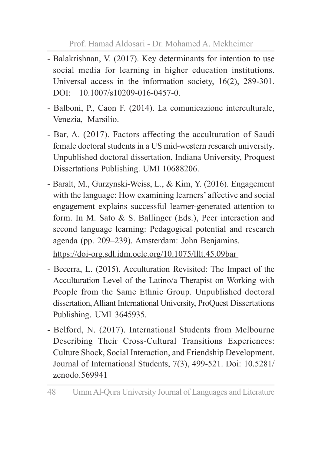- Balakrishnan, V. (2017). Key determinants for intention to use social media for learning in higher education institutions. Universal access in the information society, 16(2), 289-301. DOI: 10.1007/s10209-016-0457-0.
- Balboni, P., Caon F. (2014). La comunicazione interculturale, Venezia, Marsilio.
- Bar, A. (2017). Factors affecting the acculturation of Saudi female doctoral students in a US mid-western research university. Unpublished doctoral dissertation, Indiana University, Proquest Dissertations Publishing. UMI 10688206.
- Baralt, M., Gurzynski‐Weiss, L., & Kim, Y. (2016). Engagement with the language: How examining learners' affective and social engagement explains successful learner‐generated attention to form. In M. Sato & S. Ballinger (Eds.), Peer interaction and second language learning: Pedagogical potential and research agenda (pp. 209–239). Amsterdam: John Benjamins.

https://doi-org.sdl.idm.oclc.org/10.1075/lllt.45.09bar

- Becerra, L. (2015). Acculturation Revisited: The Impact of the Acculturation Level of the Latino/a Therapist on Working with People from the Same Ethnic Group. Unpublished doctoral dissertation, Alliant International University, ProQuest Dissertations Publishing. UMI 3645935.
- Belford, N. (2017). International Students from Melbourne Describing Their Cross-Cultural Transitions Experiences: Culture Shock, Social Interaction, and Friendship Development. Journal of International Students, 7(3), 499-521. Doi: 10.5281/ zenodo.569941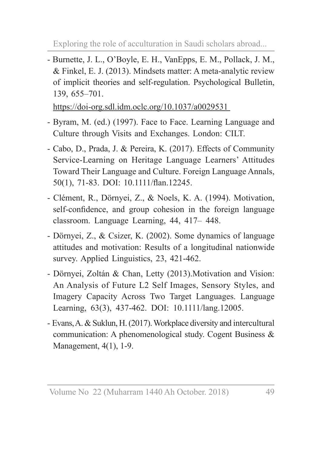- Burnette, J. L., O'Boyle, E. H., VanEpps, E. M., Pollack, J. M., & Finkel, E. J. (2013). Mindsets matter: A meta-analytic review of implicit theories and self-regulation. Psychological Bulletin, 139, 655–701.

https://doi-org.sdl.idm.oclc.org/10.1037/a0029531

- Byram, M. (ed.) (1997). Face to Face. Learning Language and Culture through Visits and Exchanges. London: CILT.
- Cabo, D., Prada, J. & Pereira, K. (2017). Effects of Community Service-Learning on Heritage Language Learners' Attitudes Toward Their Language and Culture. Foreign Language Annals, 50(1), 71-83. DOI: 10.1111/flan.12245.
- Clément, R., Dörnyei, Z., & Noels, K. A. (1994). Motivation, self-confidence, and group cohesion in the foreign language classroom. Language Learning, 44, 417– 448.
- Dörnyei, Z., & Csizer, K. (2002). Some dynamics of language attitudes and motivation: Results of a longitudinal nationwide survey. Applied Linguistics, 23, 421-462.
- Dörnyei, Zoltán & Chan, Letty (2013).Motivation and Vision: An Analysis of Future L2 Self Images, Sensory Styles, and Imagery Capacity Across Two Target Languages. Language Learning, 63(3), 437-462. DOI: 10.1111/lang.12005.
- Evans, A. & Suklun, H. (2017). Workplace diversity and intercultural communication: A phenomenological study. Cogent Business & Management, 4(1), 1-9.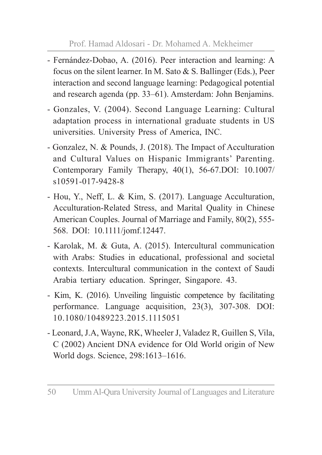- Fernández-Dobao, A. (2016). Peer interaction and learning: A focus on the silent learner. In M. Sato & S. Ballinger (Eds.), Peer interaction and second language learning: Pedagogical potential and research agenda (pp. 33–61). Amsterdam: John Benjamins.
- Gonzales, V. (2004). Second Language Learning: Cultural adaptation process in international graduate students in US universities. University Press of America, INC.
- Gonzalez, N. & Pounds, J. (2018). The Impact of Acculturation and Cultural Values on Hispanic Immigrants' Parenting. Contemporary Family Therapy, 40(1), 56-67.DOI: 10.1007/ s10591-017-9428-8
- Hou, Y., Neff, L. & Kim, S. (2017). Language Acculturation, Acculturation-Related Stress, and Marital Quality in Chinese American Couples. Journal of Marriage and Family, 80(2), 555- 568. DOI: 10.1111/jomf.12447.
- Karolak, M. & Guta, A. (2015). Intercultural communication with Arabs: Studies in educational, professional and societal contexts. Intercultural communication in the context of Saudi Arabia tertiary education. Springer, Singapore. 43.
- Kim, K. (2016). Unveiling linguistic competence by facilitating performance. Language acquisition, 23(3), 307-308. DOI: 10.1080/10489223.2015.1115051
- Leonard, J.A, Wayne, RK, Wheeler J, Valadez R, Guillen S, Vila, C (2002) Ancient DNA evidence for Old World origin of New World dogs. Science, 298:1613–1616.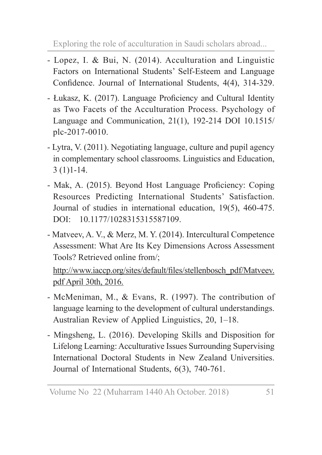- Lopez, I. & Bui, N. (2014). Acculturation and Linguistic Factors on International Students' Self-Esteem and Language Confidence. Journal of International Students, 4(4), 314-329.
- Łukasz, K. (2017). Language Proficiency and Cultural Identity as Two Facets of the Acculturation Process. Psychology of Language and Communication, 21(1), 192-214 DOI 10.1515/ plc-2017-0010.
- Lytra, V. (2011). Negotiating language, culture and pupil agency in complementary school classrooms. Linguistics and Education, 3 (1)1-14.
- Mak, A. (2015). Beyond Host Language Proficiency: Coping Resources Predicting International Students' Satisfaction. Journal of studies in international education, 19(5), 460-475. DOI: 10.1177/1028315315587109.
- Matveev, A. V., & Merz, M. Y. (2014). Intercultural Competence Assessment: What Are Its Key Dimensions Across Assessment Tools? Retrieved online from/;

http://www.iaccp.org/sites/default/files/stellenbosch\_pdf/Matveev. pdf April 30th, 2016.

- McMeniman, M., & Evans, R. (1997). The contribution of language learning to the development of cultural understandings. Australian Review of Applied Linguistics, 20, 1–18.
- Mingsheng, L. (2016). Developing Skills and Disposition for Lifelong Learning: Acculturative Issues Surrounding Supervising International Doctoral Students in New Zealand Universities. Journal of International Students, 6(3), 740-761.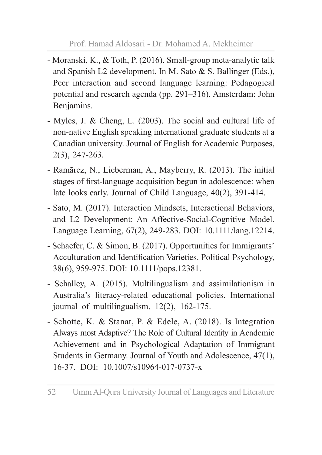- Moranski, K., & Toth, P. (2016). Small-group meta-analytic talk and Spanish L2 development. In M. Sato & S. Ballinger (Eds.), Peer interaction and second language learning: Pedagogical potential and research agenda (pp. 291–316). Amsterdam: John Benjamins.
- Myles, J. & Cheng, L. (2003). The social and cultural life of non-native English speaking international graduate students at a Canadian university. Journal of English for Academic Purposes, 2(3), 247-263.
- Ramãrez, N., Lieberman, A., Mayberry, R. (2013). The initial stages of first-language acquisition begun in adolescence: when late looks early. Journal of Child Language, 40(2), 391-414.
- Sato, M. (2017). Interaction Mindsets, Interactional Behaviors, and L2 Development: An Affective-Social-Cognitive Model. Language Learning, 67(2), 249-283. DOI: 10.1111/lang.12214.
- Schaefer, C. & Simon, B. (2017). Opportunities for Immigrants' Acculturation and Identification Varieties. Political Psychology, 38(6), 959-975. DOI: 10.1111/pops.12381.
- Schalley, A. (2015). Multilingualism and assimilationism in Australia's literacy-related educational policies. International journal of multilingualism, 12(2), 162-175.
- Schotte, K. & Stanat, P. & Edele, A. (2018). Is Integration Always most Adaptive? The Role of Cultural Identity in Academic Achievement and in Psychological Adaptation of Immigrant Students in Germany. Journal of Youth and Adolescence, 47(1), 16-37. DOI: 10.1007/s10964-017-0737-x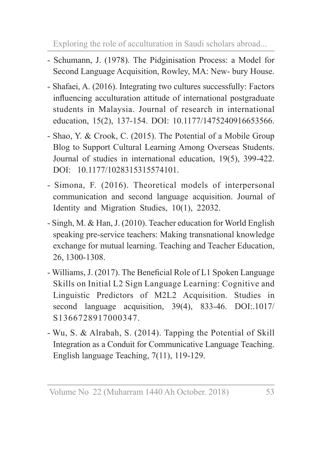- Schumann, J. (1978). The Pidginisation Process: a Model for Second Language Acquisition, Rowley, MA: New- bury House.
- Shafaei, A. (2016). Integrating two cultures successfully: Factors influencing acculturation attitude of international postgraduate students in Malaysia. Journal of research in international education, 15(2), 137-154. DOI: 10.1177/1475240916653566.
- Shao, Y. & Crook, C. (2015). The Potential of a Mobile Group Blog to Support Cultural Learning Among Overseas Students. Journal of studies in international education, 19(5), 399-422. DOI: 10.1177/1028315315574101.
- Simona, F. (2016). Theoretical models of interpersonal communication and second language acquisition. Journal of Identity and Migration Studies, 10(1), 22032.
- Singh, M. & Han, J. (2010). Teacher education for World English speaking pre-service teachers: Making transnational knowledge exchange for mutual learning. Teaching and Teacher Education, 26, 1300-1308.
- Williams, J. (2017). The Beneficial Role of L1 Spoken Language Skills on Initial L2 Sign Language Learning: Cognitive and Linguistic Predictors of M2L2 Acquisition. Studies in second language acquisition, 39(4), 833-46. DOI:.1017/ S1366728917000347.
- Wu, S. & Alrabah, S. (2014). Tapping the Potential of Skill Integration as a Conduit for Communicative Language Teaching. English language Teaching, 7(11), 119-129.